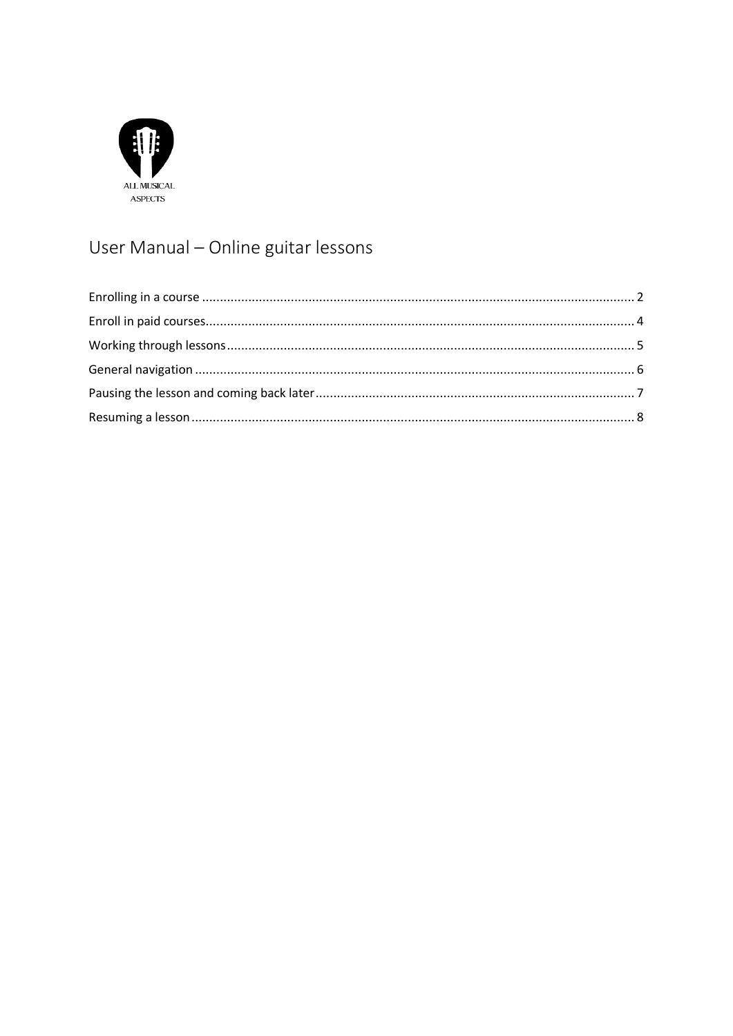

# User Manual - Online guitar lessons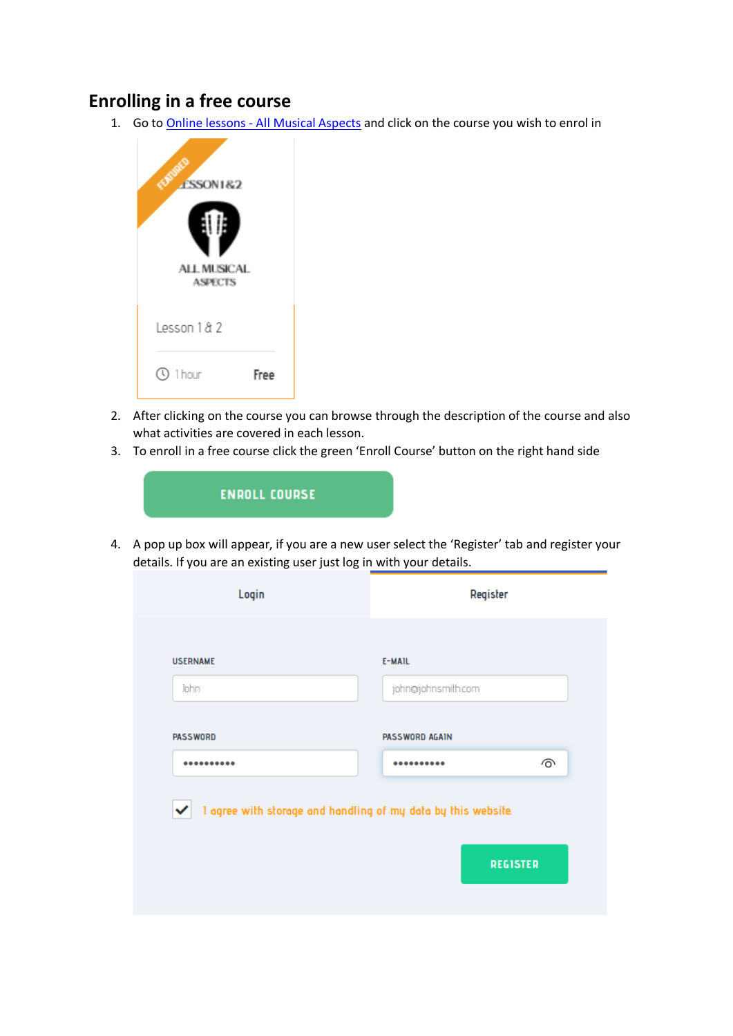#### <span id="page-1-0"></span>**Enrolling in a free course**

1. Go to Online lessons - [All Musical Aspects](https://allmusicalaspects.com/online-lessons/) and click on the course you wish to enrol in



- 2. After clicking on the course you can browse through the description of the course and also what activities are covered in each lesson.
- 3. To enroll in a free course click the green 'Enroll Course' button on the right hand side



4. A pop up box will appear, if you are a new user select the 'Register' tab and register your details. If you are an existing user just log in with your details.

| <b>USERNAME</b> | E-MAIL                                                        |                 |
|-----------------|---------------------------------------------------------------|-----------------|
| John            | john@johnsmith.com                                            |                 |
| <b>PASSWORD</b> | PASSWORD AGAIN                                                |                 |
|                 |                                                               | ⊚               |
| ✓               | I agree with storage and handling of my data by this website. | <b>REGISTER</b> |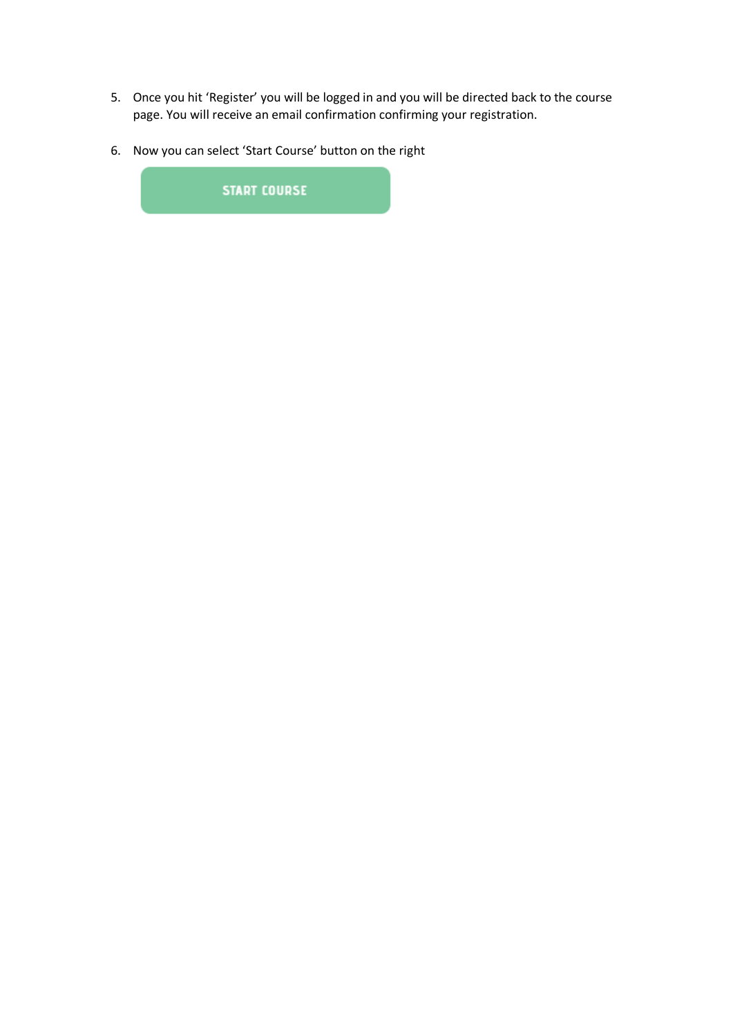- 5. Once you hit 'Register' you will be logged in and you will be directed back to the course page. You will receive an email confirmation confirming your registration.
- 6. Now you can select 'Start Course' button on the right

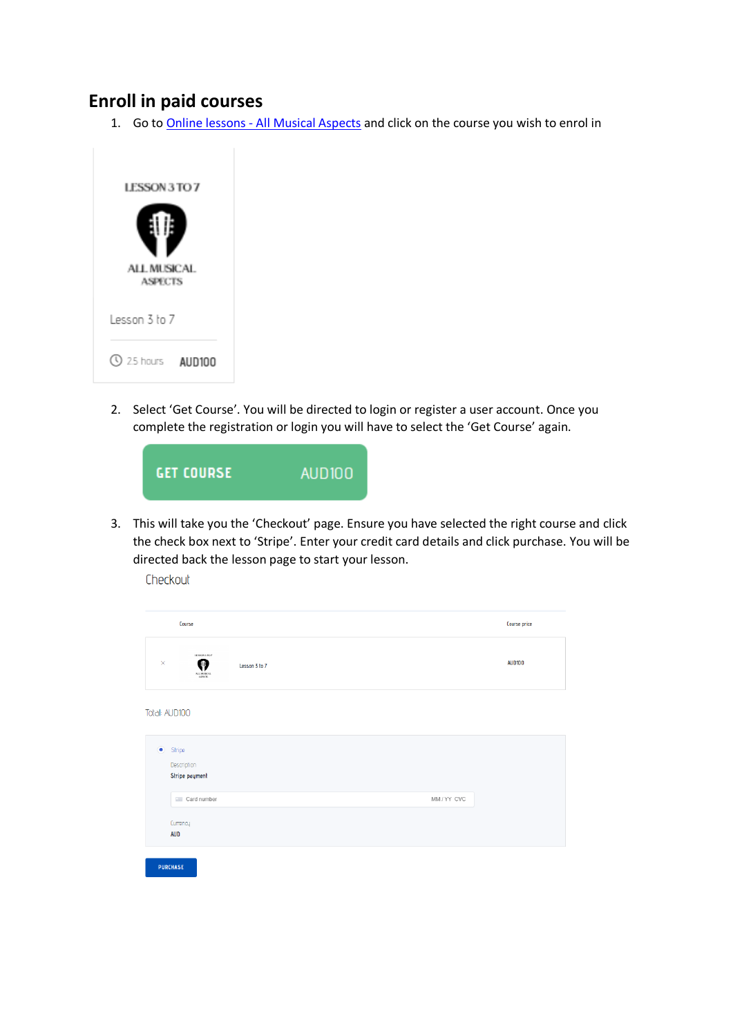#### <span id="page-3-0"></span>**Enroll in paid courses**

1. Go to Online lessons - [All Musical Aspects](https://allmusicalaspects.com/online-lessons/) and click on the course you wish to enrol in



2. Select 'Get Course'. You will be directed to login or register a user account. Once you complete the registration or login you will have to select the 'Get Course' again.



3. This will take you the 'Checkout' page. Ensure you have selected the right course and click the check box next to 'Stripe'. Enter your credit card details and click purchase. You will be directed back the lesson page to start your lesson.

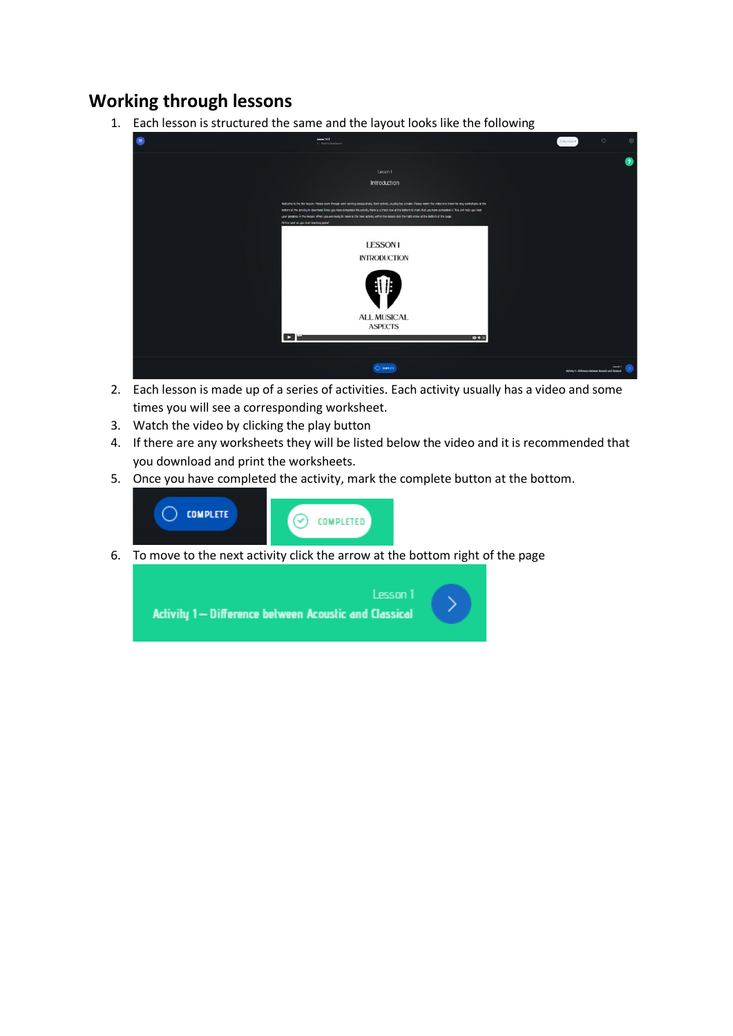#### <span id="page-4-0"></span>**Working through lessons**

1. Each lesson is structured the same and the layout looks like the following



- 2. Each lesson is made up of a series of activities. Each activity usually has a video and some times you will see a corresponding worksheet.
- 3. Watch the video by clicking the play button
- 4. If there are any worksheets they will be listed below the video and it is recommended that you download and print the worksheets.
- 5. Once you have completed the activity, mark the complete button at the bottom.



6. To move to the next activity click the arrow at the bottom right of the page

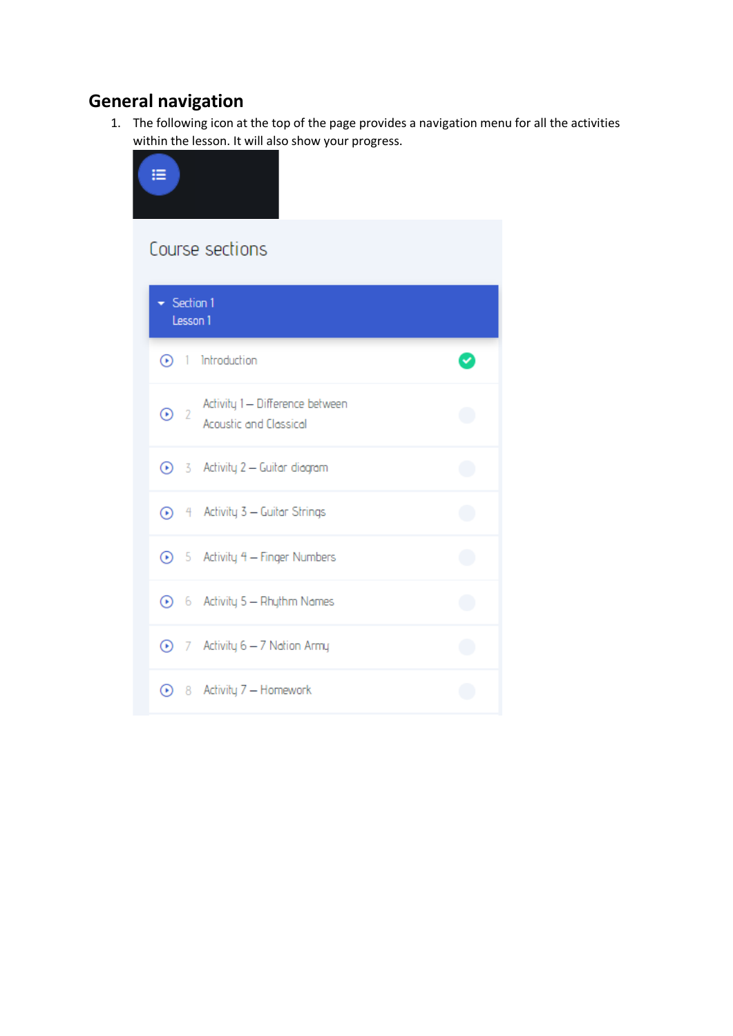# <span id="page-5-0"></span>**General navigation**

1. The following icon at the top of the page provides a navigation menu for all the activities within the lesson. It will also show your progress.

| ⋿                                                                     |    |
|-----------------------------------------------------------------------|----|
| Course sections                                                       |    |
| $\blacktriangleright$ Section 1<br>Lesson 1                           |    |
| $\odot$ 1 Introduction                                                |    |
| Activity 1- Difference between<br>$\odot$ 2<br>Acoustic and Classical |    |
| 3 Activity 2 - Guitar diagram                                         |    |
| 1 4 Activity 3 - Guitar Strings                                       |    |
| 5 Activity 4 - Finger Numbers                                         | Œ  |
| 6 6 Activity 5 - Rhythm Names                                         | Œ  |
| 1 7 Activity 6 - 7 Nation Army                                        | l. |
| 8 Activity 7 - Homework                                               |    |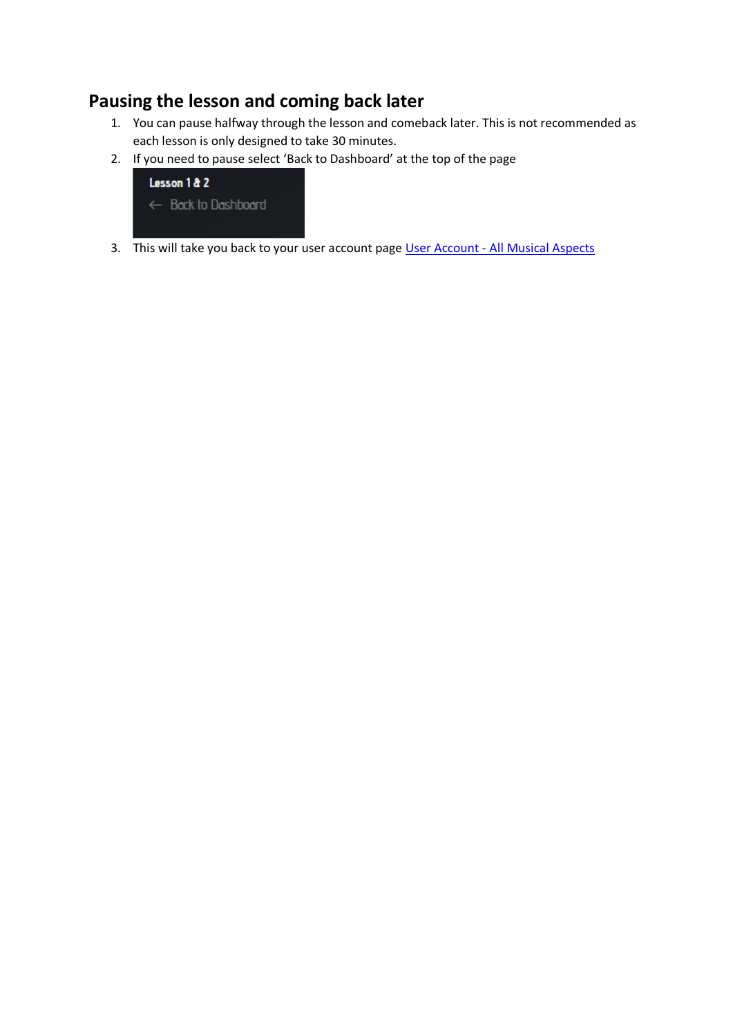## <span id="page-6-0"></span>**Pausing the lesson and coming back later**

- 1. You can pause halfway through the lesson and comeback later. This is not recommended as each lesson is only designed to take 30 minutes.
- 2. If you need to pause select 'Back to Dashboard' at the top of the page



3. This will take you back to your user account page User Account - [All Musical Aspects](https://allmusicalaspects.com/user-account/)